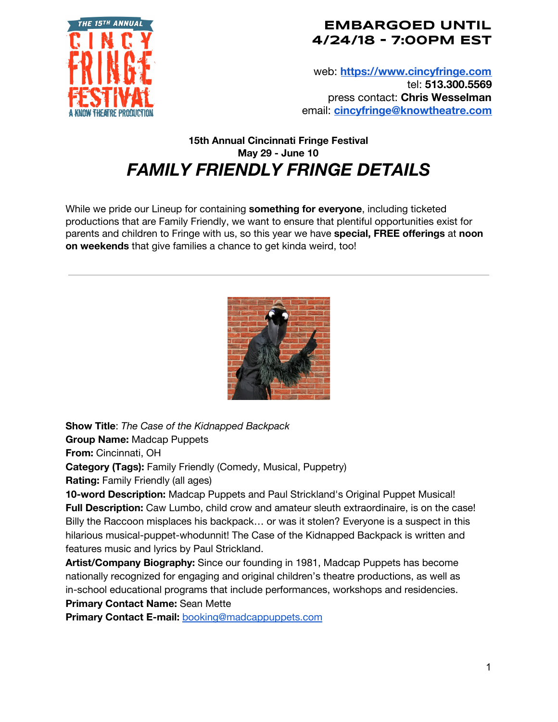

## **EMBARGOED UNTIL 4/24/18 - 7:00PM EST**

web: **[https://www.cincyfringe.com](https://www.cincyfringe.com/)** tel: **513.300.5569** press contact: **Chris Wesselman** email: **[cincyfringe@knowtheatre.com](mailto:cincyfringe@knowtheatre.com)**

## **15th Annual Cincinnati Fringe Festival May 29 - June 10** *FAMILY FRIENDLY FRINGE DETAILS*

While we pride our Lineup for containing **something for everyone**, including ticketed productions that are Family Friendly, we want to ensure that plentiful opportunities exist for parents and children to Fringe with us, so this year we have **special, FREE offerings** at **noon on weekends** that give families a chance to get kinda weird, too!



**Show Title**: *The Case of the Kidnapped Backpack*

**Group Name:** Madcap Puppets

**From:** Cincinnati, OH

**Category (Tags):** Family Friendly (Comedy, Musical, Puppetry)

**Rating:** Family Friendly (all ages)

**10-word Description:** Madcap Puppets and Paul Strickland's Original Puppet Musical! **Full Description:** Caw Lumbo, child crow and amateur sleuth extraordinaire, is on the case! Billy the Raccoon misplaces his backpack… or was it stolen? Everyone is a suspect in this hilarious musical-puppet-whodunnit! The Case of the Kidnapped Backpack is written and features music and lyrics by Paul Strickland.

**Artist/Company Biography:** Since our founding in 1981, Madcap Puppets has become nationally recognized for engaging and original children's theatre productions, as well as in-school educational programs that include performances, workshops and residencies. **Primary Contact Name:** Sean Mette

**Primary Contact E-mail:** [booking@madcappuppets.com](mailto:booking@madcappuppets.com)